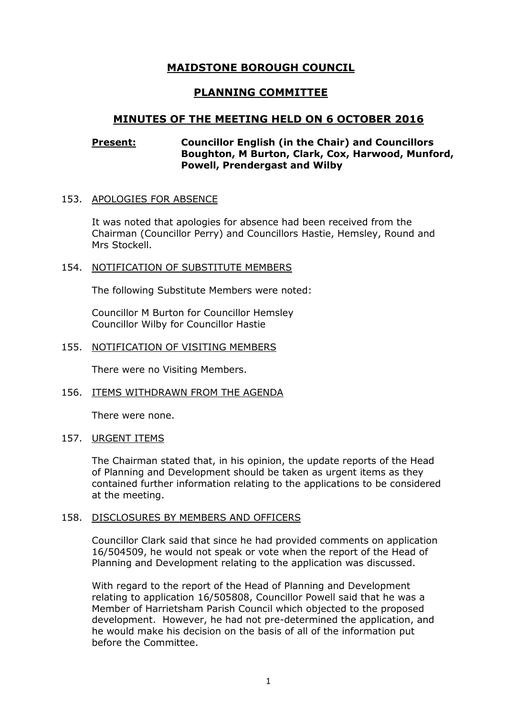# **MAIDSTONE BOROUGH COUNCIL**

# **PLANNING COMMITTEE**

## **MINUTES OF THE MEETING HELD ON 6 OCTOBER 2016**

## **Present: Councillor English (in the Chair) and Councillors Boughton, M Burton, Clark, Cox, Harwood, Munford, Powell, Prendergast and Wilby**

#### 153. APOLOGIES FOR ABSENCE

It was noted that apologies for absence had been received from the Chairman (Councillor Perry) and Councillors Hastie, Hemsley, Round and Mrs Stockell.

#### 154. NOTIFICATION OF SUBSTITUTE MEMBERS

The following Substitute Members were noted:

Councillor M Burton for Councillor Hemsley Councillor Wilby for Councillor Hastie

#### 155. NOTIFICATION OF VISITING MEMBERS

There were no Visiting Members.

#### 156. ITEMS WITHDRAWN FROM THE AGENDA

There were none.

#### 157. URGENT ITEMS

The Chairman stated that, in his opinion, the update reports of the Head of Planning and Development should be taken as urgent items as they contained further information relating to the applications to be considered at the meeting.

#### 158. DISCLOSURES BY MEMBERS AND OFFICERS

Councillor Clark said that since he had provided comments on application 16/504509, he would not speak or vote when the report of the Head of Planning and Development relating to the application was discussed.

With regard to the report of the Head of Planning and Development relating to application 16/505808, Councillor Powell said that he was a Member of Harrietsham Parish Council which objected to the proposed development. However, he had not pre-determined the application, and he would make his decision on the basis of all of the information put before the Committee.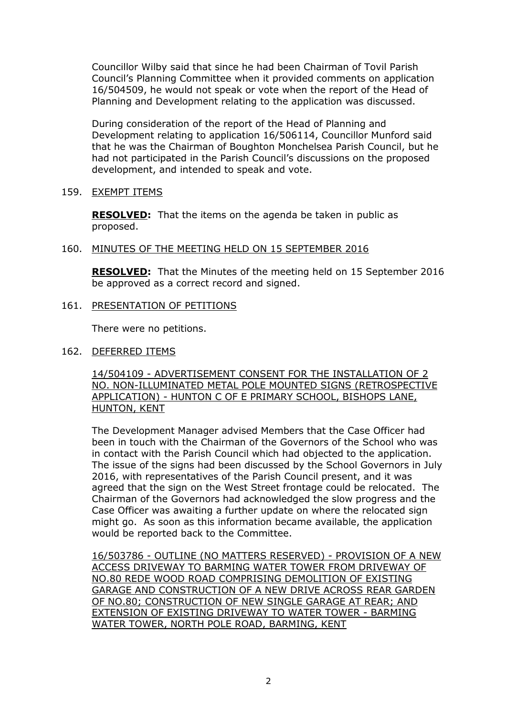Councillor Wilby said that since he had been Chairman of Tovil Parish Council's Planning Committee when it provided comments on application 16/504509, he would not speak or vote when the report of the Head of Planning and Development relating to the application was discussed.

During consideration of the report of the Head of Planning and Development relating to application 16/506114, Councillor Munford said that he was the Chairman of Boughton Monchelsea Parish Council, but he had not participated in the Parish Council's discussions on the proposed development, and intended to speak and vote.

## 159. EXEMPT ITEMS

**RESOLVED:** That the items on the agenda be taken in public as proposed.

## 160. MINUTES OF THE MEETING HELD ON 15 SEPTEMBER 2016

**RESOLVED:** That the Minutes of the meeting held on 15 September 2016 be approved as a correct record and signed.

## 161. PRESENTATION OF PETITIONS

There were no petitions.

## 162. DEFERRED ITEMS

14/504109 - ADVERTISEMENT CONSENT FOR THE INSTALLATION OF 2 NO. NON-ILLUMINATED METAL POLE MOUNTED SIGNS (RETROSPECTIVE APPLICATION) - HUNTON C OF E PRIMARY SCHOOL, BISHOPS LANE, HUNTON, KENT

The Development Manager advised Members that the Case Officer had been in touch with the Chairman of the Governors of the School who was in contact with the Parish Council which had objected to the application. The issue of the signs had been discussed by the School Governors in July 2016, with representatives of the Parish Council present, and it was agreed that the sign on the West Street frontage could be relocated. The Chairman of the Governors had acknowledged the slow progress and the Case Officer was awaiting a further update on where the relocated sign might go. As soon as this information became available, the application would be reported back to the Committee.

16/503786 - OUTLINE (NO MATTERS RESERVED) - PROVISION OF A NEW ACCESS DRIVEWAY TO BARMING WATER TOWER FROM DRIVEWAY OF NO.80 REDE WOOD ROAD COMPRISING DEMOLITION OF EXISTING GARAGE AND CONSTRUCTION OF A NEW DRIVE ACROSS REAR GARDEN OF NO.80; CONSTRUCTION OF NEW SINGLE GARAGE AT REAR; AND EXTENSION OF EXISTING DRIVEWAY TO WATER TOWER - BARMING WATER TOWER, NORTH POLE ROAD, BARMING, KENT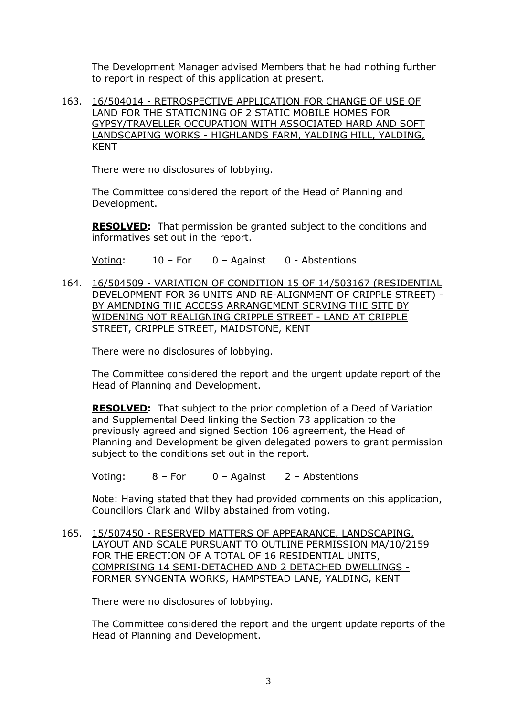The Development Manager advised Members that he had nothing further to report in respect of this application at present.

163. 16/504014 - RETROSPECTIVE APPLICATION FOR CHANGE OF USE OF LAND FOR THE STATIONING OF 2 STATIC MOBILE HOMES FOR GYPSY/TRAVELLER OCCUPATION WITH ASSOCIATED HARD AND SOFT LANDSCAPING WORKS - HIGHLANDS FARM, YALDING HILL, YALDING, KENT

There were no disclosures of lobbying.

The Committee considered the report of the Head of Planning and Development.

**RESOLVED:** That permission be granted subject to the conditions and informatives set out in the report.

Voting: 10 – For 0 – Against 0 - Abstentions

164. 16/504509 - VARIATION OF CONDITION 15 OF 14/503167 (RESIDENTIAL DEVELOPMENT FOR 36 UNITS AND RE-ALIGNMENT OF CRIPPLE STREET) - BY AMENDING THE ACCESS ARRANGEMENT SERVING THE SITE BY WIDENING NOT REALIGNING CRIPPLE STREET - LAND AT CRIPPLE STREET, CRIPPLE STREET, MAIDSTONE, KENT

There were no disclosures of lobbying.

The Committee considered the report and the urgent update report of the Head of Planning and Development.

**RESOLVED:** That subject to the prior completion of a Deed of Variation and Supplemental Deed linking the Section 73 application to the previously agreed and signed Section 106 agreement, the Head of Planning and Development be given delegated powers to grant permission subject to the conditions set out in the report.

Voting: 8 – For 0 – Against 2 – Abstentions

Note: Having stated that they had provided comments on this application, Councillors Clark and Wilby abstained from voting.

165. 15/507450 - RESERVED MATTERS OF APPEARANCE, LANDSCAPING, LAYOUT AND SCALE PURSUANT TO OUTLINE PERMISSION MA/10/2159 FOR THE ERECTION OF A TOTAL OF 16 RESIDENTIAL UNITS, COMPRISING 14 SEMI-DETACHED AND 2 DETACHED DWELLINGS - FORMER SYNGENTA WORKS, HAMPSTEAD LANE, YALDING, KENT

There were no disclosures of lobbying.

The Committee considered the report and the urgent update reports of the Head of Planning and Development.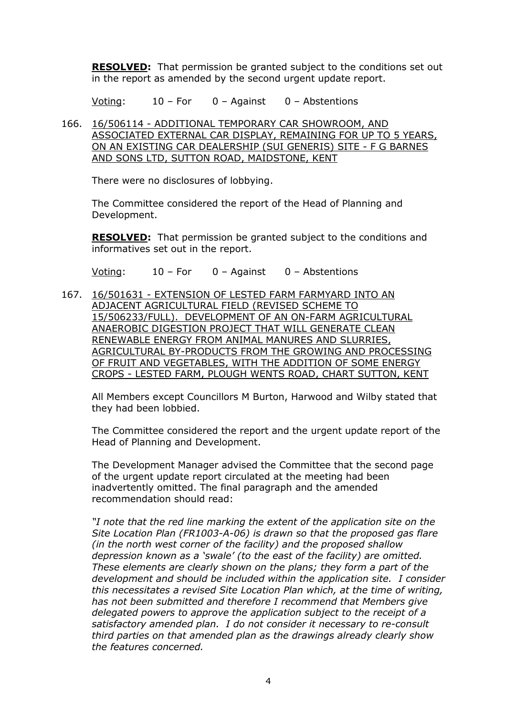**RESOLVED:** That permission be granted subject to the conditions set out in the report as amended by the second urgent update report.

Voting: 10 – For 0 – Against 0 – Abstentions

166. 16/506114 - ADDITIONAL TEMPORARY CAR SHOWROOM, AND ASSOCIATED EXTERNAL CAR DISPLAY, REMAINING FOR UP TO 5 YEARS, ON AN EXISTING CAR DEALERSHIP (SUI GENERIS) SITE - F G BARNES AND SONS LTD, SUTTON ROAD, MAIDSTONE, KENT

There were no disclosures of lobbying.

The Committee considered the report of the Head of Planning and Development.

**RESOLVED:** That permission be granted subject to the conditions and informatives set out in the report.

Voting: 10 – For 0 – Against 0 – Abstentions

167. 16/501631 - EXTENSION OF LESTED FARM FARMYARD INTO AN ADJACENT AGRICULTURAL FIELD (REVISED SCHEME TO 15/506233/FULL). DEVELOPMENT OF AN ON-FARM AGRICULTURAL ANAEROBIC DIGESTION PROJECT THAT WILL GENERATE CLEAN RENEWABLE ENERGY FROM ANIMAL MANURES AND SLURRIES, AGRICULTURAL BY-PRODUCTS FROM THE GROWING AND PROCESSING OF FRUIT AND VEGETABLES, WITH THE ADDITION OF SOME ENERGY CROPS - LESTED FARM, PLOUGH WENTS ROAD, CHART SUTTON, KENT

All Members except Councillors M Burton, Harwood and Wilby stated that they had been lobbied.

The Committee considered the report and the urgent update report of the Head of Planning and Development.

The Development Manager advised the Committee that the second page of the urgent update report circulated at the meeting had been inadvertently omitted. The final paragraph and the amended recommendation should read:

*"I note that the red line marking the extent of the application site on the Site Location Plan (FR1003-A-06) is drawn so that the proposed gas flare (in the north west corner of the facility) and the proposed shallow depression known as a 'swale' (to the east of the facility) are omitted. These elements are clearly shown on the plans; they form a part of the development and should be included within the application site. I consider this necessitates a revised Site Location Plan which, at the time of writing, has not been submitted and therefore I recommend that Members give delegated powers to approve the application subject to the receipt of a satisfactory amended plan. I do not consider it necessary to re-consult third parties on that amended plan as the drawings already clearly show the features concerned.*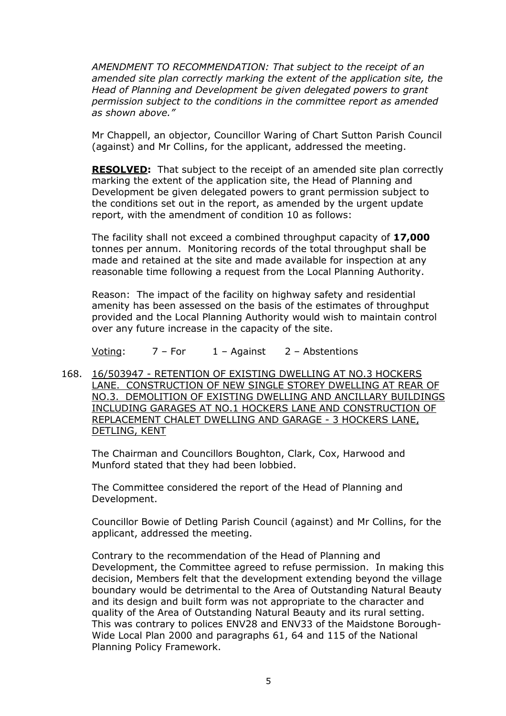*AMENDMENT TO RECOMMENDATION: That subject to the receipt of an amended site plan correctly marking the extent of the application site, the Head of Planning and Development be given delegated powers to grant permission subject to the conditions in the committee report as amended as shown above."* 

Mr Chappell, an objector, Councillor Waring of Chart Sutton Parish Council (against) and Mr Collins, for the applicant, addressed the meeting.

**RESOLVED:** That subject to the receipt of an amended site plan correctly marking the extent of the application site, the Head of Planning and Development be given delegated powers to grant permission subject to the conditions set out in the report, as amended by the urgent update report, with the amendment of condition 10 as follows:

The facility shall not exceed a combined throughput capacity of **17,000** tonnes per annum. Monitoring records of the total throughput shall be made and retained at the site and made available for inspection at any reasonable time following a request from the Local Planning Authority.

Reason: The impact of the facility on highway safety and residential amenity has been assessed on the basis of the estimates of throughput provided and the Local Planning Authority would wish to maintain control over any future increase in the capacity of the site.

Voting:  $7 - For$   $1 -$  Against  $2 -$  Abstentions

168. 16/503947 - RETENTION OF EXISTING DWELLING AT NO.3 HOCKERS LANE. CONSTRUCTION OF NEW SINGLE STOREY DWELLING AT REAR OF NO.3. DEMOLITION OF EXISTING DWELLING AND ANCILLARY BUILDINGS INCLUDING GARAGES AT NO.1 HOCKERS LANE AND CONSTRUCTION OF REPLACEMENT CHALET DWELLING AND GARAGE - 3 HOCKERS LANE, DETLING, KENT

The Chairman and Councillors Boughton, Clark, Cox, Harwood and Munford stated that they had been lobbied.

The Committee considered the report of the Head of Planning and Development.

Councillor Bowie of Detling Parish Council (against) and Mr Collins, for the applicant, addressed the meeting.

Contrary to the recommendation of the Head of Planning and Development, the Committee agreed to refuse permission. In making this decision, Members felt that the development extending beyond the village boundary would be detrimental to the Area of Outstanding Natural Beauty and its design and built form was not appropriate to the character and quality of the Area of Outstanding Natural Beauty and its rural setting. This was contrary to polices ENV28 and ENV33 of the Maidstone Borough-Wide Local Plan 2000 and paragraphs 61, 64 and 115 of the National Planning Policy Framework.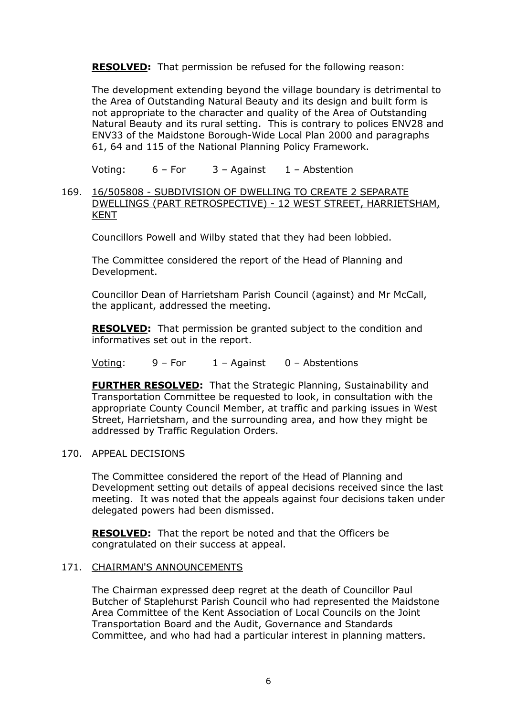**RESOLVED:** That permission be refused for the following reason:

The development extending beyond the village boundary is detrimental to the Area of Outstanding Natural Beauty and its design and built form is not appropriate to the character and quality of the Area of Outstanding Natural Beauty and its rural setting. This is contrary to polices ENV28 and ENV33 of the Maidstone Borough-Wide Local Plan 2000 and paragraphs 61, 64 and 115 of the National Planning Policy Framework.

Voting:  $6 - For$   $3 - Againt$   $1 - Abstention$ 

169. 16/505808 - SUBDIVISION OF DWELLING TO CREATE 2 SEPARATE DWELLINGS (PART RETROSPECTIVE) - 12 WEST STREET, HARRIETSHAM, KENT

Councillors Powell and Wilby stated that they had been lobbied.

The Committee considered the report of the Head of Planning and Development.

Councillor Dean of Harrietsham Parish Council (against) and Mr McCall, the applicant, addressed the meeting.

**RESOLVED:** That permission be granted subject to the condition and informatives set out in the report.

Voting:  $9 - For$   $1 -$  Against  $0 -$  Abstentions

**FURTHER RESOLVED:** That the Strategic Planning, Sustainability and Transportation Committee be requested to look, in consultation with the appropriate County Council Member, at traffic and parking issues in West Street, Harrietsham, and the surrounding area, and how they might be addressed by Traffic Regulation Orders.

## 170. APPEAL DECISIONS

The Committee considered the report of the Head of Planning and Development setting out details of appeal decisions received since the last meeting. It was noted that the appeals against four decisions taken under delegated powers had been dismissed.

**RESOLVED:** That the report be noted and that the Officers be congratulated on their success at appeal.

#### 171. CHAIRMAN'S ANNOUNCEMENTS

The Chairman expressed deep regret at the death of Councillor Paul Butcher of Staplehurst Parish Council who had represented the Maidstone Area Committee of the Kent Association of Local Councils on the Joint Transportation Board and the Audit, Governance and Standards Committee, and who had had a particular interest in planning matters.